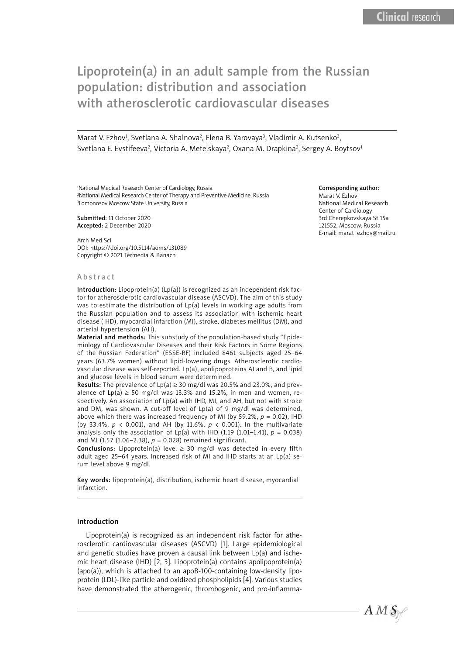# Lipoprotein(a) in an adult sample from the Russian population: distribution and association with atherosclerotic cardiovascular diseases

Marat V. Ezhov<sup>1</sup>, Svetlana A. Shalnova<sup>2</sup>, Elena B. Yarovaya<sup>3</sup>, Vladimir A. Kutsenko<sup>3</sup>, Svetlana E. Evstifeeva<sup>2</sup>, Victoria A. Metelskaya<sup>2</sup>, Oxana M. Drapkina<sup>2</sup>, Sergey A. Boytsov<sup>1</sup>

1 National Medical Research Center of Cardiology, Russia 2 National Medical Research Center of Therapy and Preventive Medicine, Russia 3 Lomonosov Moscow State University, Russia

Submitted: 11 October 2020 Accepted: 2 December 2020

Arch Med Sci DOI: https://doi.org/10.5114/aoms/131089 Copyright © 2021 Termedia & Banach

#### Abstract

Introduction: Lipoprotein(a)  $(Lp(a))$  is recognized as an independent risk factor for atherosclerotic cardiovascular disease (ASCVD). The aim of this study was to estimate the distribution of Lp(a) levels in working age adults from the Russian population and to assess its association with ischemic heart disease (IHD), myocardial infarction (MI), stroke, diabetes mellitus (DM), and arterial hypertension (AH).

Material and methods: This substudy of the population-based study "Epidemiology of Cardiovascular Diseases and their Risk Factors in Some Regions of the Russian Federation" (ESSE-RF) included 8461 subjects aged 25–64 years (63.7% women) without lipid-lowering drugs. Atherosclerotic cardiovascular disease was self-reported. Lp(a), apolipoproteins AI and B, and lipid and glucose levels in blood serum were determined.

**Results:** The prevalence of  $Lp(a) \ge 30$  mg/dl was 20.5% and 23.0%, and prevalence of  $Lp(a) \ge 50$  mg/dl was 13.3% and 15.2%, in men and women, respectively. An association of Lp(a) with IHD, MI, and AH, but not with stroke and DM, was shown. A cut-off level of Lp(a) of 9 mg/dl was determined, above which there was increased frequency of MI (by 59.2%,  $p = 0.02$ ), IHD (by 33.4%, *p* < 0.001), and AH (by 11.6%, *p* < 0.001). In the multivariate analysis only the association of Lp(a) with IHD (1.19 (1.01–1.41),  $p = 0.038$ ) and MI (1.57 (1.06–2.38),  $p = 0.028$ ) remained significant.

**Conclusions:** Lipoprotein(a) level  $\geq$  30 mg/dl was detected in every fifth adult aged 25–64 years. Increased risk of MI and IHD starts at an Lp(a) serum level above 9 mg/dl.

Key words: lipoprotein(a), distribution, ischemic heart disease, myocardial infarction.

#### Introduction

Lipoprotein(a) is recognized as an independent risk factor for atherosclerotic cardiovascular diseases (ASCVD) [1]. Large epidemiological and genetic studies have proven a causal link between Lp(a) and ischemic heart disease (IHD) [2, 3]. Lipoprotein(a) contains apolipoprotein(a) (apo(a)), which is attached to an apoB-100-containing low-density lipoprotein (LDL)-like particle and oxidized phospholipids [4]. Various studies have demonstrated the atherogenic, thrombogenic, and pro-inflamma-

#### Corresponding author:

Marat V. Ezhov National Medical Research Center of Cardiology 3rd Cherepkovskaya St 15a 121552, Moscow, Russia E-mail: marat\_ezhov@mail.ru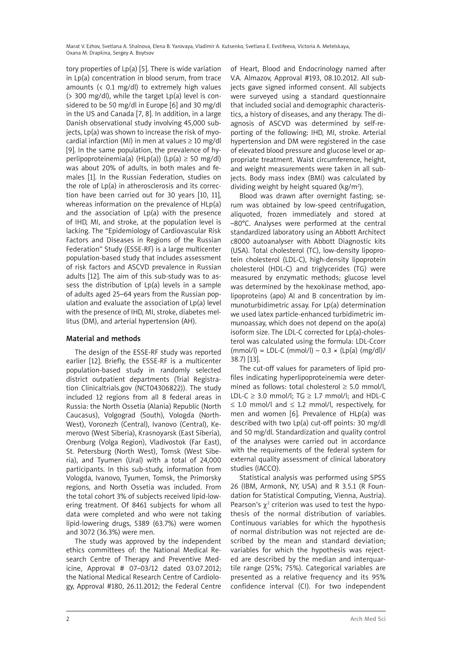tory properties of Lp(a) [5]. There is wide variation in Lp(a) concentration in blood serum, from trace amounts (< 0.1 mg/dl) to extremely high values  $($  300 mg/dl), while the target  $Lp(a)$  level is considered to be 50 mg/dl in Europe [6] and 30 mg/dl in the US and Canada [7, 8]. In addition, in a large Danish observational study involving 45,000 subjects, Lp(a) was shown to increase the risk of myocardial infarction (MI) in men at values  $\geq 10$  mg/dl [9]. In the same population, the prevalence of hyperlipoproteinemia(a) (HLp(a)) (Lp(a)  $\geq$  50 mg/dl) was about 20% of adults, in both males and females [1]. In the Russian Federation, studies on the role of Lp(a) in atherosclerosis and its correction have been carried out for 30 years [10, 11], whereas information on the prevalence of HLp(a) and the association of  $Lp(a)$  with the presence of IHD, MI, and stroke, at the population level is lacking. The "Epidemiology of Cardiovascular Risk Factors and Diseases in Regions of the Russian Federation" Study (ESSE-RF) is a large multicenter population-based study that includes assessment of risk factors and ASCVD prevalence in Russian adults [12]. The aim of this sub-study was to assess the distribution of  $Lp(a)$  levels in a sample of adults aged 25–64 years from the Russian population and evaluate the association of Lp(a) level with the presence of IHD, MI, stroke, diabetes mellitus (DM), and arterial hypertension (AH).

## Material and methods

The design of the ESSE-RF study was reported earlier [12]. Briefly, the ESSE-RF is a multicenter population-based study in randomly selected district outpatient departments (Trial Registration Clinicaltrials.gov (NCT04306822)). The study included 12 regions from all 8 federal areas in Russia: the North Ossetia (Alania) Republic (North Caucasus), Volgograd (South), Vologda (North-West), Voronezh (Central), Ivanovo (Central), Kemerovo (West Siberia), Krasnoyarsk (East Siberia), Orenburg (Volga Region), Vladivostok (Far East), St. Petersburg (North West), Tomsk (West Siberia), and Tyumen (Ural) with a total of 24,000 participants. In this sub-study, information from Vologda, Ivanovo, Tyumen, Tomsk, the Primorsky regions, and North Ossetia was included. From the total cohort 3% of subjects received lipid-lowering treatment. Of 8461 subjects for whom all data were completed and who were not taking lipid-lowering drugs, 5389 (63.7%) were women and 3072 (36.3%) were men.

The study was approved by the independent ethics committees of: the National Medical Research Centre of Therapy and Preventive Medicine, Approval # 07–03/12 dated 03.07.2012; the National Medical Research Centre of Cardiology, Approval #180, 26.11.2012; the Federal Centre of Heart, Blood and Endocrinology named after V.A. Almazov, Approval #193, 08.10.2012. All subjects gave signed informed consent. All subjects were surveyed using a standard questionnaire that included social and demographic characteristics, a history of diseases, and any therapy. The diagnosis of ASCVD was determined by self-reporting of the following: IHD, MI, stroke. Arterial hypertension and DM were registered in the case of elevated blood pressure and glucose level or appropriate treatment. Waist circumference, height, and weight measurements were taken in all subjects. Body mass index (BMI) was calculated by dividing weight by height squared ( $kg/m<sup>2</sup>$ ).

Blood was drawn after overnight fasting; serum was obtained by low-speed centrifugation, aliquoted, frozen immediately and stored at –80°C. Analyses were performed at the central standardized laboratory using an Abbott Architect c8000 autoanalyser with Abbott Diagnostic kits (USA). Total cholesterol (TC), low-density lipoprotein cholesterol (LDL-C), high-density lipoprotein cholesterol (HDL-C) and triglycerides (TG) were measured by enzymatic methods; glucose level was determined by the hexokinase method, apolipoproteins (apo) AI and B concentration by immunoturbidimetric assay. For Lp(a) determination we used latex particle-enhanced turbidimetric immunoassay, which does not depend on the apo(a) isoform size. The LDL-C corrected for Lp(a)-cholesterol was calculated using the formula: LDL-Ccorr  $(mmol/l) = LDL-C (mmol/l) - 0.3 \times (Lp(a) (mg/dl)/$ 38.7) [13].

The cut-off values for parameters of lipid profiles indicating hyperlipoproteinemia were determined as follows: total cholesterol  $\geq$  5.0 mmol/l, LDL-C  $\geq$  3.0 mmol/l; TG  $\geq$  1.7 mmol/l; and HDL-C ≤ 1.0 mmol/l and ≤ 1.2 mmol/l, respectively, for men and women [6]. Prevalence of HLp(a) was described with two Lp(a) cut-off points: 30 mg/dl and 50 mg/dl. Standardization and quality control of the analyses were carried out in accordance with the requirements of the federal system for external quality assessment of clinical laboratory studies (IACCO).

Statistical analysis was performed using SPSS 26 (IBM, Armonk, NY, USA) and R 3.5.1 (R Foundation for Statistical Computing, Vienna, Austria). Pearson's  $\chi^2$  criterion was used to test the hypothesis of the normal distribution of variables. Continuous variables for which the hypothesis of normal distribution was not rejected are described by the mean and standard deviation; variables for which the hypothesis was rejected are described by the median and interquartile range (25%; 75%). Categorical variables are presented as a relative frequency and its 95% confidence interval (CI). For two independent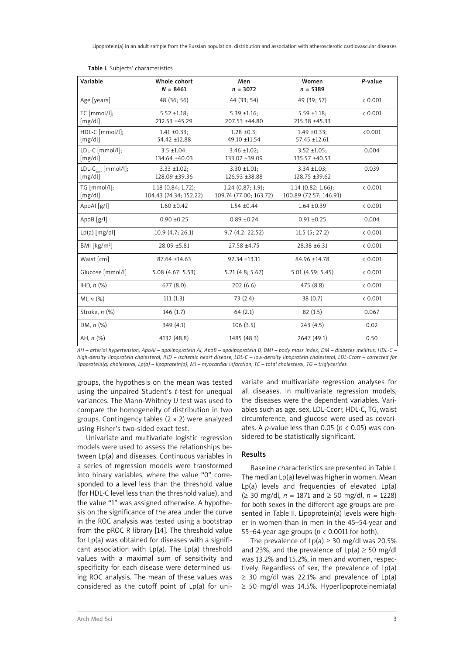| Variable                         | Whole cohort<br>$N = 8461$                     | Men<br>$n = 3072$                          | Women<br>$n = 5389$                            | P-value |
|----------------------------------|------------------------------------------------|--------------------------------------------|------------------------------------------------|---------|
| Age [years]                      | 48 (36; 56)                                    | 44 (33; 54)                                | 49 (39; 57)                                    | < 0.001 |
| TC [mmol/l];<br>[mg/dl]          | $5.52 \pm 1.18$ ;<br>212.53 ±45.29             | $5.39 \pm 1.16$ ;<br>207.53 ±44.80         | $5.59 \pm 1.18$ ;<br>215.38 ±45.33             | < 0.001 |
| HDL-C [mmol/l];<br>[mg/dl]       | $1.41 \pm 0.33$ ;<br>54.42 ±12.88              | $1.28 \pm 0.3$ ;<br>49.10 ±11.54           | $1.49 \pm 0.33$ ;<br>57.45 ±12.61              | < 0.001 |
| LDL-C [mmol/l];<br>[mg/dl]       | $3.5 \pm 1.04$ ;<br>134.64 ±40.03              | $3.46 \pm 1.02$ ;<br>133.02 ±39.09         | $3.52 \pm 1.05$ ;<br>135.57 ±40.53             | 0.004   |
| $LDL-Ccorr$ [mmol/l];<br>[mg/dl] | $3.33 \pm 1.02$ ;<br>128.09 ±39.36             | $3.30 \pm 1.01$ ;<br>126.93 ±38.88         | $3.34 \pm 1.03$ ;<br>128.75 ±39.62             | 0.039   |
| TG [mmol/l];<br>[mg/dl]          | $1.18$ (0.84; 1.72);<br>104.43 (74.34; 152.22) | 1.24(0.87; 1.9);<br>109.74 (77.00; 163.72) | $1.14$ (0.82; 1.66);<br>100.89 (72.57; 146.91) | & 0.001 |
| ApoAl [g/l]                      | $1.60 \pm 0.42$                                | $1.54 \pm 0.44$                            | $1.64 \pm 0.39$                                | < 0.001 |
| ApoB [g/l]                       | $0.90 \pm 0.25$                                | $0.89 + 0.24$                              | $0.91 \pm 0.25$                                | 0.004   |
| $Lp(a)$ [mg/dl]                  | 10.9(4.7; 26.1)                                | 9.7(4.2; 22.52)                            | 11.5(5; 27.2)                                  | < 0.001 |
| BMI [ $kg/m2$ ]                  | 28.09 ±5.81                                    | 27.58 ±4.75                                | 28.38 ±6.31                                    | < 0.001 |
| Waist [cm]                       | 87.64 ±14.63                                   | 92.34 ±13.11                               | 84.96 ±14.78                                   | < 0.001 |
| Glucose [mmol/l]                 | 5.08 (4.67; 5.53)                              | 5.21(4.8; 5.67)                            | 5.01(4.59; 5.45)                               | < 0.001 |
| IHD, $n$ $%$                     | 677(8.0)                                       | 202(6.6)                                   | 475 (8.8)                                      | < 0.001 |
| MI, $n$ $(\%)$                   | 111(1.3)                                       | 73 (2.4)                                   | 38 (0.7)                                       | < 0.001 |
| Stroke, n (%)                    | 146(1.7)                                       | 64(2.1)                                    | 82(1.5)                                        | 0.067   |
| DM, $n$ $%$                      | 349(4.1)                                       | 106(3.5)                                   | 243(4.5)                                       | 0.02    |
| AH, $n$ $(\%)$                   | 4132 (48.8)                                    | 1485 (48.3)                                | 2647 (49.1)                                    | 0.50    |

|  |  | Table I. Subjects' characteristics |
|--|--|------------------------------------|
|--|--|------------------------------------|

*AH – arterial hypertension, ApoAI – apolipoprotein AI, ApoB – apolipoprotein B, BMI – body mass index, DM – diabetes mellitus, HDL-C – high-density lipoprotein cholesterol, IHD – ischemic heart disease, LDL-C – low-density lipoprotein cholesterol, LDL-Ccorr – corrected for lipoprotein(a) cholesterol, Lp(a) – lipoprotein(a), MI – myocardial infarction, TC – total cholesterol, TG – triglycerides.*

groups, the hypothesis on the mean was tested using the unpaired Student's *t*-test for unequal variances. The Mann-Whitney *U* test was used to compare the homogeneity of distribution in two groups. Contingency tables (2 × 2) were analyzed using Fisher's two-sided exact test.

Univariate and multivariate logistic regression models were used to assess the relationships between Lp(a) and diseases. Continuous variables in a series of regression models were transformed into binary variables, where the value "0" corresponded to a level less than the threshold value (for HDL-C level less than the threshold value), and the value "1" was assigned otherwise. A hypothesis on the significance of the area under the curve in the ROC analysis was tested using a bootstrap from the pROC R library [14]. The threshold value for Lp(a) was obtained for diseases with a significant association with  $Lp(a)$ . The  $Lp(a)$  threshold values with a maximal sum of sensitivity and specificity for each disease were determined using ROC analysis. The mean of these values was considered as the cutoff point of Lp(a) for univariate and multivariate regression analyses for all diseases. In multivariate regression models, the diseases were the dependent variables. Variables such as age, sex, LDL-Ccorr, HDL-C, TG, waist circumference, and glucose were used as covariates. A *p*-value less than 0.05 (*p* < 0.05) was considered to be statistically significant.

#### Results

Baseline characteristics are presented in Table I. The median Lp(a) level was higher in women. Mean Lp(a) levels and frequencies of elevated Lp(a) (≥ 30 mg/dl, *n* = 1871 and ≥ 50 mg/dl, *n* = 1228) for both sexes in the different age groups are presented in Table II. Lipoprotein(a) levels were higher in women than in men in the 45–54-year and 55–64-year age groups (*p* < 0.0011 for both).

The prevalence of  $Lp(a) \geq 30$  mg/dl was 20.5% and 23%, and the prevalence of  $Lp(a) \ge 50$  mg/dl was 13.2% and 15.2%, in men and women, respectively. Regardless of sex, the prevalence of Lp(a)  $\geq$  30 mg/dl was 22.1% and prevalence of Lp(a) ≥ 50 mg/dl was 14.5%. Hyperlipoproteinemia(a)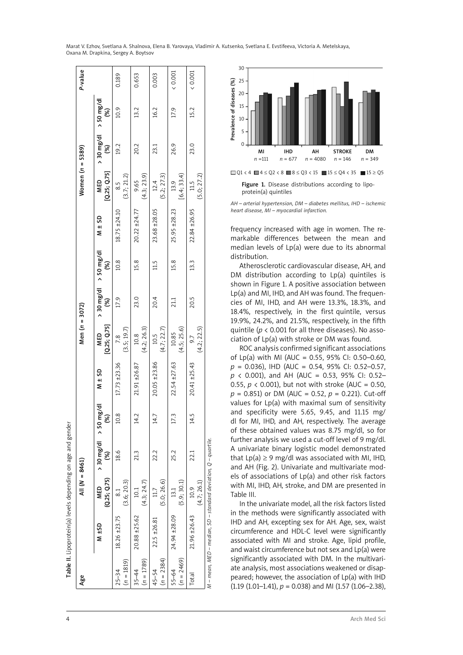|                           | Table II. Lipoprotein(a) levels depending on age and gender    |                          |                                |      |                   |                            |                                            |               |              |                            |                                 |               |         |
|---------------------------|----------------------------------------------------------------|--------------------------|--------------------------------|------|-------------------|----------------------------|--------------------------------------------|---------------|--------------|----------------------------|---------------------------------|---------------|---------|
| Age                       |                                                                | All $(N = 8461)$         |                                |      |                   | Men $(n = 3072)$           |                                            |               |              | Women $(n = 5389)$         |                                 |               | P-value |
|                           | $\frac{15}{24}$                                                | (0.25; 0.75)<br>MED      | $>$ 30 mg/dl $>$ 50 mg/dl<br>E | Š,   | $M \pm SD$        | [Q.25; Q.75]<br><b>NED</b> | $>$ 30 mg/dl $>$ 50 mg/dl<br>$\mathcal{E}$ | $\mathcal{E}$ | $M \pm SD$   | [Q.25; Q.75]<br><b>MED</b> | $>$ 30 mg/dl $>$ 50 mg/dl<br>E) | $\mathcal{E}$ |         |
| $(n = 1819)$<br>$25 - 34$ | $18.26 \pm 23.75$                                              | (3.6; 20.3)<br>$\approx$ | 18.6                           | 10.8 | $17.73 \pm 23.36$ | (3.5; 19.7)<br>7.8         | 17.9                                       | 10.8          | 18.75 ±24.10 | (3.7; 21.2)<br>8.5         | 19.2                            | 10.9          | 0.189   |
| $(n = 1789)$<br>$35 - 44$ | 20.88 ±25.62                                                   | (4.3; 24.7)<br>10.1      | 21.3                           | 14.2 | 21.91 ±26.87      | (4.2; 26.3)<br>10.8        | 23.0                                       | 15.8          | 20.22 ±24.77 | (4.3; 23.9)<br>9.65        | 20.2                            | 13.2          | 0.653   |
| $(n = 2384)$<br>45-54     | 22.5 ±26.81                                                    | (5.0; 26.6)<br>11.7      | 22.2                           | 14.7 | 20.05 ±23.86      | (4.7; 22.7)<br>10.5        | 20.4                                       | 11.5          | 23.68 ±28.05 | (5.2; 27.3)<br>12.4        | 23.1                            | 16.2          | 0.003   |
| $(n = 2469)$<br>55-64     | 24.94 ±28.09                                                   | (5.9; 30.1)<br>13.1      | 25.2                           | 17.3 | 22.54 ±27.63      | (4.5; 25.6)<br>10.85       | 21.1                                       | 15.8          | 25.95 ±28.23 | [6.4; 33.4]<br>13.9        | 26.9                            | 17.9          | (0.001) |
| Total                     | 21.96 ±26.43                                                   | (4.7; 26.1)<br>10.9      | 22.1                           | 14.5 | 20.41 ±25.43      | (4.2; 22.5)<br>9.7         | 20.5                                       | 13.3          | 22.84 ±26.95 | (5.0; 27.2)<br>11.5        | 23.0                            | 15.2          | (0.001) |
|                           | M – mean, MED – median, SD – standard deviation, Q – quartile. |                          |                                |      |                   |                            |                                            |               |              |                            |                                 |               |         |



Figure 1. Disease distributions according to lipoprotein(a) quintiles

*AH – arterial hypertension, DM – diabetes mellitus, IHD – ischemic heart disease, MI – myocardial infarction.*

frequency increased with age in women. The re markable differences between the mean and median levels of Lp(a) were due to its abnormal distribution.

Atherosclerotic cardiovascular disease, AH, and DM distribution according to Lp(a) quintiles is shown in Figure 1. A positive association between Lp(a) and MI, IHD, and AH was found. The frequen cies of MI, IHD, and AH were 13.3%, 18.3%, and 18.4%, respectively, in the first quintile, versus 19.9%, 24.2%, and 21.5%, respectively, in the fifth quintile (*p* < 0.001 for all three diseases). No asso ciation of Lp(a) with stroke or DM was found.

ROC analysis confirmed significant associations of Lp(a) with MI (AUC = 0.55, 95% CI: 0.50-0.60, *p* = 0.036), IHD (AUC = 0.54, 95% CI: 0.52–0.57, *p* < 0.001), and AH (AUC = 0.53, 95% CI: 0.52– 0.55,  $p$  < 0.001), but not with stroke (AUC = 0.50, *p* = 0.851) or DM (AUC = 0.52, *p* = 0.221). Cut-off values for Lp(a) with maximal sum of sensitivity and specificity were 5.65, 9.45, and 11.15 mg/ dl for MI, IHD, and AH, respectively. The average of these obtained values was 8.75 mg/dl, so for further analysis we used a cut-off level of 9 mg/dl. A univariate binary logistic model demonstrated that  $Lp(a) \ge 9$  mg/dl was associated with MI, IHD, and AH (Fig. 2). Univariate and multivariate mod els of associations of Lp(a) and other risk factors with MI, IHD, AH, stroke, and DM are presented in Table III.

In the univariate model, all the risk factors listed in the methods were significantly associated with IHD and AH, excepting sex for AH. Age, sex, waist circumference and HDL-C level were significantly associated with MI and stroke. Age, lipid profile, and waist circumference but not sex and Lp(a) were significantly associated with DM. In the multivari ate analysis, most associations weakened or disap peared; however, the association of Lp(a) with IHD  $(1.19 (1.01-1.41), p = 0.038)$  and MI  $(1.57 (1.06-2.38),$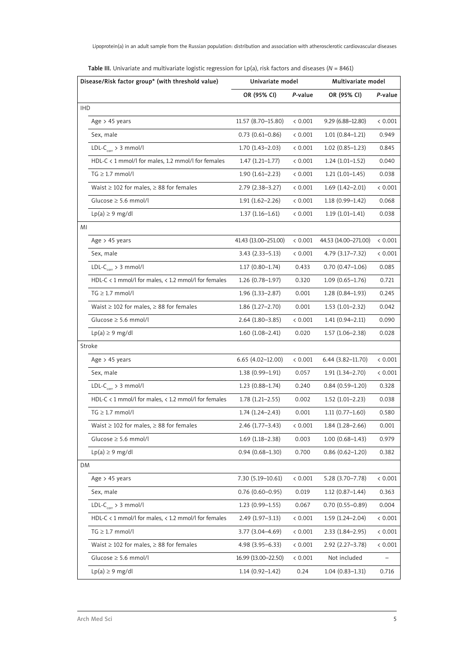| Disease/Risk factor group* (with threshold value)            | Univariate model     |         | Multivariate model   |         |
|--------------------------------------------------------------|----------------------|---------|----------------------|---------|
|                                                              | OR (95% CI)          | P-value | OR (95% CI)          | P-value |
| <b>IHD</b>                                                   |                      |         |                      |         |
| Age $> 45$ years                                             | 11.57 (8.70-15.80)   | < 0.001 | $9.29(6.88 - 12.80)$ | < 0.001 |
| Sex, male                                                    | $0.73(0.61 - 0.86)$  | < 0.001 | $1.01(0.84-1.21)$    | 0.949   |
| $LDL-Ccorr > 3 mmol/l$                                       | $1.70(1.43 - 2.03)$  | < 0.001 | $1.02(0.85-1.23)$    | 0.845   |
| HDL-C $\lt 1$ mmol/l for males, 1.2 mmol/l for females       | $1.47(1.21-1.77)$    | < 0.001 | $1.24(1.01-1.52)$    | 0.040   |
| $TG \geq 1.7$ mmol/l                                         | $1.90(1.61 - 2.23)$  | < 0.001 | $1.21(1.01-1.45)$    | 0.038   |
| Waist $\geq$ 102 for males, $\geq$ 88 for females            | $2.79(2.38-3.27)$    | < 0.001 | $1.69(1.42 - 2.01)$  | < 0.001 |
| Glucose $\geq$ 5.6 mmol/l                                    | $1.91(1.62 - 2.26)$  | < 0.001 | $1.18(0.99 - 1.42)$  | 0.068   |
| $Lp(a) \geq 9$ mg/dl                                         | $1.37(1.16-1.61)$    | < 0.001 | $1.19(1.01-1.41)$    | 0.038   |
| MI                                                           |                      |         |                      |         |
| Age > 45 years                                               | 41.43 (13.00-251.00) | < 0.001 | 44.53 (14.00-271.00) | < 0.001 |
| Sex, male                                                    | $3.43(2.33 - 5.13)$  | < 0.001 | 4.79 (3.17–7.32)     | < 0.001 |
| $LDL-Ccorr > 3 mmol/l$                                       | $1.17(0.80-1.74)$    | 0.433   | $0.70(0.47-1.06)$    | 0.085   |
| HDL-C $\lt 1$ mmol/l for males, $\lt 1.2$ mmol/l for females | $1.26(0.78-1.97)$    | 0.320   | $1.09(0.65 - 1.76)$  | 0.721   |
| $TG \geq 1.7$ mmol/l                                         | $1.96(1.33 - 2.87)$  | 0.001   | $1.28(0.84-1.93)$    | 0.245   |
| Waist $\geq$ 102 for males, $\geq$ 88 for females            | $1.86(1.27-2.70)$    | 0.001   | $1.53(1.01-2.32)$    | 0.042   |
| Glucose $\geq$ 5.6 mmol/l                                    | $2.64(1.80-3.85)$    | < 0.001 | $1.41(0.94 - 2.11)$  | 0.090   |
| $Lp(a) \geq 9$ mg/dl                                         | $1.60(1.08-2.41)$    | 0.020   | $1.57(1.06-2.38)$    | 0.028   |
| Stroke                                                       |                      |         |                      |         |
| Age > 45 years                                               | $6.65(4.02-12.00)$   | < 0.001 | $6.44(3.82 - 11.70)$ | < 0.001 |
| Sex, male                                                    | $1.38(0.99-1.91)$    | 0.057   | $1.91(1.34 - 2.70)$  | 0.001   |
| $LDL-Ccorr > 3 mmol/l$                                       | $1.23(0.88-1.74)$    | 0.240   | $0.84(0.59-1.20)$    | 0.328   |
| HDL-C $\lt 1$ mmol/l for males, $\lt 1.2$ mmol/l for females | $1.78(1.21-2.55)$    | 0.002   | $1.52(1.01-2.23)$    | 0.038   |
| $TG \geq 1.7$ mmol/l                                         | $1.74(1.24 - 2.43)$  | 0.001   | $1.11(0.77 - 1.60)$  | 0.580   |
| Waist $\geq 102$ for males, $\geq 88$ for females            | 2.46 (1.77–3.43)     | < 0.001 | $1.84(1.28 - 2.66)$  | 0.001   |
| Glucose ≥ 5.6 mmol/l                                         | $1.69(1.18-2.38)$    | 0.003   | $1.00(0.68 - 1.43)$  | 0.979   |
| $Lp(a) \geq 9$ mg/dl                                         | $0.94(0.68 - 1.30)$  | 0.700   | $0.86(0.62 - 1.20)$  | 0.382   |
| DM                                                           |                      |         |                      |         |
| Age $> 45$ years                                             | 7.30 (5.19-10.61)    | < 0.001 | $5.28(3.70 - 7.78)$  | < 0.001 |
| Sex, male                                                    | $0.76(0.60 - 0.95)$  | 0.019   | $1.12(0.87 - 1.44)$  | 0.363   |
| $LDL-Ccorr > 3 mmol/l$                                       | $1.23(0.99 - 1.55)$  | 0.067   | $0.70(0.55 - 0.89)$  | 0.004   |
| HDL-C < 1 mmol/l for males, < 1.2 mmol/l for females         | $2.49(1.97 - 3.13)$  | < 0.001 | $1.59(1.24 - 2.04)$  | < 0.001 |
| $TG \geq 1.7$ mmol/l                                         | 3.77 (3.04-4.69)     | < 0.001 | $2.33(1.84 - 2.95)$  | < 0.001 |
| Waist $\geq$ 102 for males, $\geq$ 88 for females            | 4.98 (3.95 - 6.33)   | < 0.001 | $2.92(2.27 - 3.78)$  | < 0.001 |
| $Glucose \geq 5.6 mmol/l$                                    | 16.99 (13.00-22.50)  | < 0.001 | Not included         |         |
| $Lp(a) \geq 9$ mg/dl                                         | $1.14(0.92 - 1.42)$  | 0.24    | $1.04(0.83 - 1.31)$  | 0.716   |

| <b>Table III.</b> Univariate and multivariate logistic regression for Lp(a), risk factors and diseases (N = 8461) |  |  |
|-------------------------------------------------------------------------------------------------------------------|--|--|
|-------------------------------------------------------------------------------------------------------------------|--|--|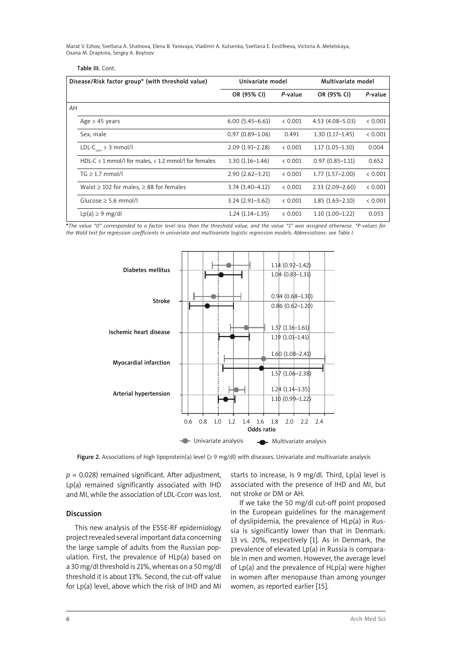| Disease/Risk factor group* (with threshold value) |                                                              | Univariate model    |         | Multivariate model  |         |
|---------------------------------------------------|--------------------------------------------------------------|---------------------|---------|---------------------|---------|
|                                                   |                                                              | OR (95% CI)         | P-value | OR (95% CI)         | P-value |
| AH                                                |                                                              |                     |         |                     |         |
|                                                   | Age $> 45$ years                                             | $6.00(5.45 - 6.61)$ | & 0.001 | $4.53(4.08 - 5.03)$ | & 0.001 |
|                                                   | Sex, male                                                    | $0.97(0.89 - 1.06)$ | 0.491   | $1.30(1.17-1.45)$   | < 0.001 |
|                                                   | $LDL-Ccorr > 3 mmol/l$                                       | $2.09(1.91 - 2.28)$ | < 0.001 | $1.17(1.05-1.30)$   | 0.004   |
|                                                   | HDL-C $\lt 1$ mmol/l for males, $\lt 1.2$ mmol/l for females | $1.30(1.16-1.46)$   | & 0.001 | $0.97(0.85 - 1.11)$ | 0.652   |
|                                                   | $TG \geq 1.7$ mmol/l                                         | $2.90(2.62 - 3.21)$ | < 0.001 | $1.77(1.57-2.00)$   | & 0.001 |
|                                                   | Waist $\geq$ 102 for males, $\geq$ 88 for females            | $3.74(3.40 - 4.12)$ | & 0.001 | $2.33(2.09 - 2.60)$ | & 0.001 |
|                                                   | Glucose $\geq$ 5.6 mmol/l                                    | $3.24(2.91 - 3.62)$ | & 0.001 | $1.85(1.63 - 2.10)$ | < 0.001 |
|                                                   | $Lp(a) \geq 9$ mg/dl                                         | $1.24(1.14-1.35)$   | & 0.001 | $1.10(1.00-1.22)$   | 0.053   |

**\****The value "0" corresponded to a factor level less than the threshold value, and the value "1" was assigned otherwise. \*P-values for the Wald test for regression coefficients in univariate and multivariate logistic regression models. Abbreviations: see Table I.*



Figure 2. Associations of high lipoprotein(a) level  $(≥ 9$  mg/dl) with diseases. Univariate and multivariate analysis

 $p = 0.028$ ) remained significant. After adjustment, Lp(a) remained significantly associated with IHD and MI, while the association of LDL-Ccorr was lost.

## Discussion

Table III. Cont.

This new analysis of the ESSE-RF epidemiology project revealed several important data concerning the large sample of adults from the Russian population. First, the prevalence of HLp(a) based on a 30 mg/dl threshold is 21%, whereas on a 50 mg/dl threshold it is about 13%. Second, the cut-off value for Lp(a) level, above which the risk of IHD and MI starts to increase, is 9 mg/dl. Third, Lp(a) level is associated with the presence of IHD and MI, but not stroke or DM or AH.

If we take the 50 mg/dl cut-off point proposed in the European guidelines for the management of dyslipidemia, the prevalence of HLp(a) in Russia is significantly lower than that in Denmark: 13 vs. 20%, respectively [1]. As in Denmark, the prevalence of elevated Lp(a) in Russia is comparable in men and women. However, the average level of Lp(a) and the prevalence of HLp(a) were higher in women after menopause than among younger women, as reported earlier [15].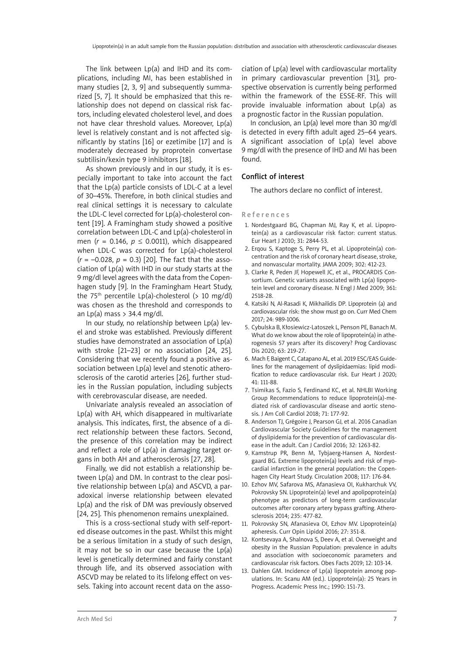The link between Lp(a) and IHD and its complications, including MI, has been established in many studies [2, 3, 9] and subsequently summarized [5, 7]. It should be emphasized that this relationship does not depend on classical risk factors, including elevated cholesterol level, and does not have clear threshold values. Moreover, Lp(a) level is relatively constant and is not affected significantly by statins [16] or ezetimibe [17] and is moderately decreased by proprotein convertase subtilisin/kexin type 9 inhibitors [18].

As shown previously and in our study, it is especially important to take into account the fact that the Lp(a) particle consists of LDL-C at a level of 30–45%. Therefore, in both clinical studies and real clinical settings it is necessary to calculate the LDL-C level corrected for Lp(a)-cholesterol content [19]. A Framingham study showed a positive correlation between LDL-C and Lp(a)-cholesterol in men ( $r = 0.146$ ,  $p \le 0.0011$ ), which disappeared when LDL-C was corrected for Lp(a)-cholesterol  $(r = -0.028, p = 0.3)$  [20]. The fact that the association of Lp(a) with IHD in our study starts at the 9 mg/dl level agrees with the data from the Copenhagen study [9]. In the Framingham Heart Study, the  $75<sup>th</sup>$  percentile Lp(a)-cholesterol (> 10 mg/dl) was chosen as the threshold and corresponds to an  $Lp(a)$  mass  $> 34.4$  mg/dl.

In our study, no relationship between Lp(a) level and stroke was established. Previously different studies have demonstrated an association of Lp(a) with stroke [21–23] or no association [24, 25]. Considering that we recently found a positive association between Lp(a) level and stenotic atherosclerosis of the carotid arteries [26], further studies in the Russian population, including subjects with cerebrovascular disease, are needed.

Univariate analysis revealed an association of Lp(a) with AH, which disappeared in multivariate analysis. This indicates, first, the absence of a direct relationship between these factors. Second, the presence of this correlation may be indirect and reflect a role of Lp(a) in damaging target organs in both AH and atherosclerosis [27, 28].

Finally, we did not establish a relationship between Lp(a) and DM. In contrast to the clear positive relationship between Lp(a) and ASCVD, a paradoxical inverse relationship between elevated Lp(a) and the risk of DM was previously observed [24, 25]. This phenomenon remains unexplained.

This is a cross-sectional study with self-reported disease outcomes in the past. Whilst this might be a serious limitation in a study of such design, it may not be so in our case because the Lp(a) level is genetically determined and fairly constant through life, and its observed association with ASCVD may be related to its lifelong effect on vessels. Taking into account recent data on the asso-

ciation of Lp(a) level with cardiovascular mortality in primary cardiovascular prevention [31], prospective observation is currently being performed within the framework of the ESSE-RF. This will provide invaluable information about Lp(a) as a prognostic factor in the Russian population.

In conclusion, an Lp(a) level more than 30 mg/dl is detected in every fifth adult aged 25–64 years. A significant association of Lp(a) level above 9 mg/dl with the presence of IHD and MI has been found.

### Conflict of interest

The authors declare no conflict of interest.

References

- 1. Nordestgaard BG, Chapman MJ, Ray K, et al. Lipoprotein(a) as a cardiovascular risk factor: current status. Eur Heart J 2010; 31: 2844-53.
- 2. Erqou S, Kaptoge S, Perry PL, et al. Lipoprotein(a) concentration and the risk of coronary heart disease, stroke, and nonvascular mortality. JAMA 2009; 302: 412-23.
- 3. Clarke R, Peden JF, Hopewell JC, et al., PROCARDIS Consortium. Genetic variants associated with Lp(a) lipoprotein level and coronary disease. N Engl J Med 2009; 361: 2518-28.
- 4. Katsiki N, Al-Rasadi K, Mikhailidis DP. Lipoprotein (a) and cardiovascular risk: the show must go on. Curr Med Chem 2017; 24: 989-1006.
- 5. Cybulska B, Kłosiewicz-Latoszek L, Penson PE, Banach M. What do we know about the role of lipoprotein(a) in atherogenesis 57 years after its discovery? Prog Cardiovasc Dis 2020; 63: 219-27.
- 6. Mach F, Baigent C, Catapano AL, et al. 2019 ESC/EAS Guidelines for the management of dyslipidaemias: lipid modification to reduce cardiovascular risk. Eur Heart J 2020; 41: 111-88.
- 7. Tsimikas S, Fazio S, Ferdinand KC, et al. NHLBI Working Group Recommendations to reduce lipoprotein(a)-mediated risk of cardiovascular disease and aortic stenosis. J Am Coll Cardiol 2018; 71: 177-92.
- 8. Anderson TJ, Grégoire J, Pearson GJ, et al. 2016 Canadian Cardiovascular Society Guidelines for the management of dyslipidemia for the prevention of cardiovascular disease in the adult. Can J Cardiol 2016; 32: 1263-82.
- 9. Kamstrup PR, Benn M, Tybjaerg-Hansen A, Nordestgaard BG. Extreme lipoprotein(a) levels and risk of myocardial infarction in the general population: the Copenhagen City Heart Study. Circulation 2008; 117: 176-84.
- 10. Ezhov MV, Safarova MS, Afanasieva OI, Kukharchuk VV, Pokrovsky SN. Lipoprotein(a) level and apolipoprotein(a) phenotype as predictors of long-term cardiovascular outcomes after coronary artery bypass grafting. Atherosclerosis 2014; 235: 477-82.
- 11. Pokrovsky SN, Afanasieva OI, Ezhov MV. Lipoprotein(a) apheresis. Curr Opin Lipidol 2016; 27: 351-8.
- 12. Kontsevaya A, Shalnova S, Deev A, et al. Overweight and obesity in the Russian Population: prevalence in adults and association with socioeconomic parameters and cardiovascular risk factors. Obes Facts 2019; 12: 103-14.
- 13. Dahlen GM. Incidence of Lp(a) lipoprotein among populations. In: Scanu AM (ed.). Lipoprotein(a): 25 Years in Progress. Academic Press Inc.; 1990: 151-73.